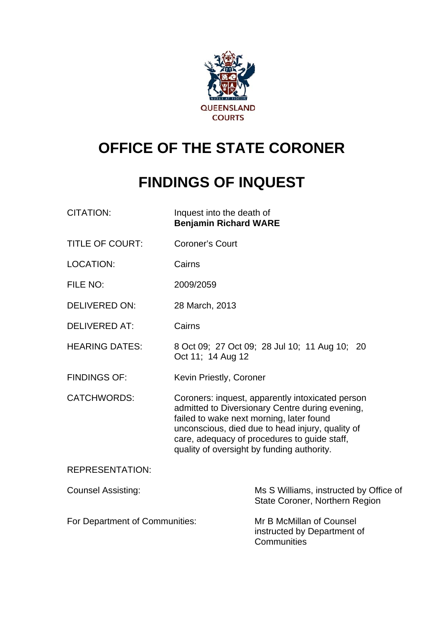

# **OFFICE OF THE STATE CORONER**

# **FINDINGS OF INQUEST**

| CITATION: | Inquest into the death of    |
|-----------|------------------------------|
|           | <b>Benjamin Richard WARE</b> |

- TITLE OF COURT: Coroner's Court
- LOCATION: Cairns
- FILE NO: 2009/2059
- DELIVERED ON: 28 March, 2013
- DELIVERED AT: Cairns
- HEARING DATES: 8 Oct 09; 27 Oct 09; 28 Jul 10; 11 Aug 10; 20 Oct 11; 14 Aug 12
- FINDINGS OF: Kevin Priestly, Coroner
- CATCHWORDS: Coroners: inquest, apparently intoxicated person admitted to Diversionary Centre during evening, failed to wake next morning, later found unconscious, died due to head injury, quality of care, adequacy of procedures to guide staff, quality of oversight by funding authority.

#### REPRESENTATION:

| <b>Counsel Assisting:</b>      | Ms S Williams, instructed by Office of<br>State Coroner, Northern Region |
|--------------------------------|--------------------------------------------------------------------------|
| For Department of Communities: | Mr B McMillan of Counsel<br>instructed by Department of                  |
|                                | Communities                                                              |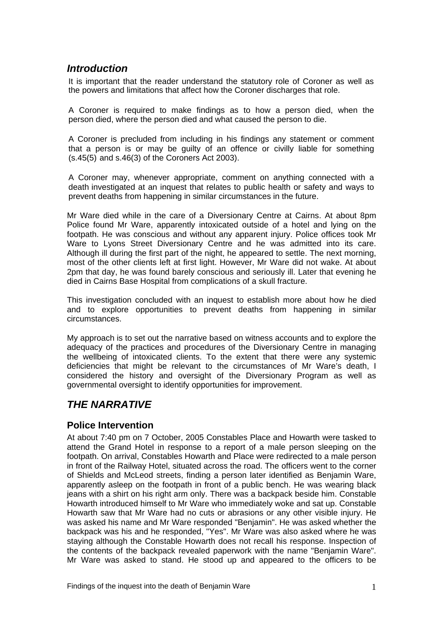## *Introduction*

It is important that the reader understand the statutory role of Coroner as well as the powers and limitations that affect how the Coroner discharges that role.

A Coroner is required to make findings as to how a person died, when the person died, where the person died and what caused the person to die.

A Coroner is precluded from including in his findings any statement or comment that a person is or may be guilty of an offence or civilly liable for something (s.45(5) and s.46(3) of the Coroners Act 2003).

A Coroner may, whenever appropriate, comment on anything connected with a death investigated at an inquest that relates to public health or safety and ways to prevent deaths from happening in similar circumstances in the future.

Mr Ware died while in the care of a Diversionary Centre at Cairns. At about 8pm Police found Mr Ware, apparently intoxicated outside of a hotel and lying on the footpath. He was conscious and without any apparent injury. Police offices took Mr Ware to Lyons Street Diversionary Centre and he was admitted into its care. Although ill during the first part of the night, he appeared to settle. The next morning, most of the other clients left at first light. However, Mr Ware did not wake. At about 2pm that day, he was found barely conscious and seriously ill. Later that evening he died in Cairns Base Hospital from complications of a skull fracture.

This investigation concluded with an inquest to establish more about how he died and to explore opportunities to prevent deaths from happening in similar circumstances.

My approach is to set out the narrative based on witness accounts and to explore the adequacy of the practices and procedures of the Diversionary Centre in managing the wellbeing of intoxicated clients. To the extent that there were any systemic deficiencies that might be relevant to the circumstances of Mr Ware's death, I considered the history and oversight of the Diversionary Program as well as governmental oversight to identify opportunities for improvement.

# *THE NARRATIVE*

## **Police Intervention**

At about 7:40 pm on 7 October, 2005 Constables Place and Howarth were tasked to attend the Grand Hotel in response to a report of a male person sleeping on the footpath. On arrival, Constables Howarth and Place were redirected to a male person in front of the Railway Hotel, situated across the road. The officers went to the corner of Shields and McLeod streets, finding a person later identified as Benjamin Ware, apparently asleep on the footpath in front of a public bench. He was wearing black jeans with a shirt on his right arm only. There was a backpack beside him. Constable Howarth introduced himself to Mr Ware who immediately woke and sat up. Constable Howarth saw that Mr Ware had no cuts or abrasions or any other visible injury. He was asked his name and Mr Ware responded "Benjamin". He was asked whether the backpack was his and he responded, "Yes". Mr Ware was also asked where he was staying although the Constable Howarth does not recall his response. Inspection of the contents of the backpack revealed paperwork with the name "Benjamin Ware". Mr Ware was asked to stand. He stood up and appeared to the officers to be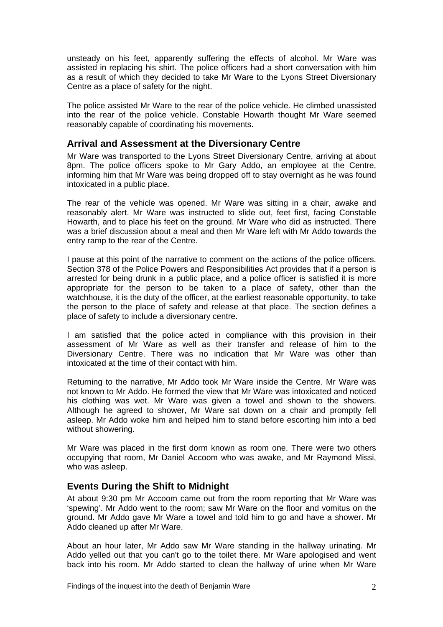unsteady on his feet, apparently suffering the effects of alcohol. Mr Ware was assisted in replacing his shirt. The police officers had a short conversation with him as a result of which they decided to take Mr Ware to the Lyons Street Diversionary Centre as a place of safety for the night.

The police assisted Mr Ware to the rear of the police vehicle. He climbed unassisted into the rear of the police vehicle. Constable Howarth thought Mr Ware seemed reasonably capable of coordinating his movements.

#### **Arrival and Assessment at the Diversionary Centre**

Mr Ware was transported to the Lyons Street Diversionary Centre, arriving at about 8pm. The police officers spoke to Mr Gary Addo, an employee at the Centre, informing him that Mr Ware was being dropped off to stay overnight as he was found intoxicated in a public place.

The rear of the vehicle was opened. Mr Ware was sitting in a chair, awake and reasonably alert. Mr Ware was instructed to slide out, feet first, facing Constable Howarth, and to place his feet on the ground. Mr Ware who did as instructed. There was a brief discussion about a meal and then Mr Ware left with Mr Addo towards the entry ramp to the rear of the Centre.

I pause at this point of the narrative to comment on the actions of the police officers. Section 378 of the Police Powers and Responsibilities Act provides that if a person is arrested for being drunk in a public place, and a police officer is satisfied it is more appropriate for the person to be taken to a place of safety, other than the watchhouse, it is the duty of the officer, at the earliest reasonable opportunity, to take the person to the place of safety and release at that place. The section defines a place of safety to include a diversionary centre.

I am satisfied that the police acted in compliance with this provision in their assessment of Mr Ware as well as their transfer and release of him to the Diversionary Centre. There was no indication that Mr Ware was other than intoxicated at the time of their contact with him.

Returning to the narrative, Mr Addo took Mr Ware inside the Centre. Mr Ware was not known to Mr Addo. He formed the view that Mr Ware was intoxicated and noticed his clothing was wet. Mr Ware was given a towel and shown to the showers. Although he agreed to shower, Mr Ware sat down on a chair and promptly fell asleep. Mr Addo woke him and helped him to stand before escorting him into a bed without showering.

Mr Ware was placed in the first dorm known as room one. There were two others occupying that room, Mr Daniel Accoom who was awake, and Mr Raymond Missi, who was asleep.

## **Events During the Shift to Midnight**

At about 9:30 pm Mr Accoom came out from the room reporting that Mr Ware was 'spewing'. Mr Addo went to the room; saw Mr Ware on the floor and vomitus on the ground. Mr Addo gave Mr Ware a towel and told him to go and have a shower. Mr Addo cleaned up after Mr Ware.

About an hour later, Mr Addo saw Mr Ware standing in the hallway urinating. Mr Addo yelled out that you can't go to the toilet there. Mr Ware apologised and went back into his room. Mr Addo started to clean the hallway of urine when Mr Ware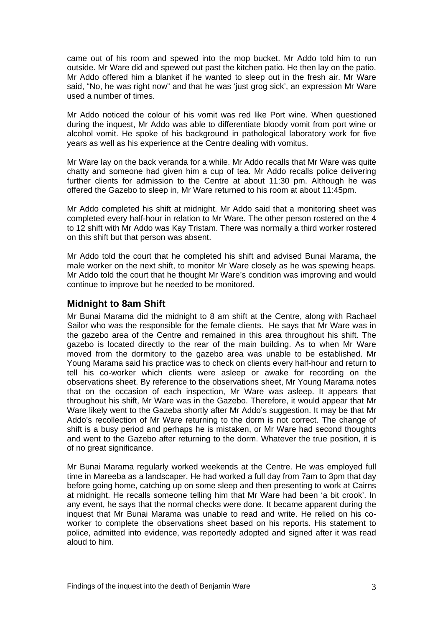came out of his room and spewed into the mop bucket. Mr Addo told him to run outside. Mr Ware did and spewed out past the kitchen patio. He then lay on the patio. Mr Addo offered him a blanket if he wanted to sleep out in the fresh air. Mr Ware said, "No, he was right now" and that he was 'just grog sick', an expression Mr Ware used a number of times.

Mr Addo noticed the colour of his vomit was red like Port wine. When questioned during the inquest, Mr Addo was able to differentiate bloody vomit from port wine or alcohol vomit. He spoke of his background in pathological laboratory work for five years as well as his experience at the Centre dealing with vomitus.

Mr Ware lay on the back veranda for a while. Mr Addo recalls that Mr Ware was quite chatty and someone had given him a cup of tea. Mr Addo recalls police delivering further clients for admission to the Centre at about 11:30 pm. Although he was offered the Gazebo to sleep in, Mr Ware returned to his room at about 11:45pm.

Mr Addo completed his shift at midnight. Mr Addo said that a monitoring sheet was completed every half-hour in relation to Mr Ware. The other person rostered on the 4 to 12 shift with Mr Addo was Kay Tristam. There was normally a third worker rostered on this shift but that person was absent.

Mr Addo told the court that he completed his shift and advised Bunai Marama, the male worker on the next shift, to monitor Mr Ware closely as he was spewing heaps. Mr Addo told the court that he thought Mr Ware's condition was improving and would continue to improve but he needed to be monitored.

#### **Midnight to 8am Shift**

Mr Bunai Marama did the midnight to 8 am shift at the Centre, along with Rachael Sailor who was the responsible for the female clients. He says that Mr Ware was in the gazebo area of the Centre and remained in this area throughout his shift. The gazebo is located directly to the rear of the main building. As to when Mr Ware moved from the dormitory to the gazebo area was unable to be established. Mr Young Marama said his practice was to check on clients every half-hour and return to tell his co-worker which clients were asleep or awake for recording on the observations sheet. By reference to the observations sheet, Mr Young Marama notes that on the occasion of each inspection, Mr Ware was asleep. It appears that throughout his shift, Mr Ware was in the Gazebo. Therefore, it would appear that Mr Ware likely went to the Gazeba shortly after Mr Addo's suggestion. It may be that Mr Addo's recollection of Mr Ware returning to the dorm is not correct. The change of shift is a busy period and perhaps he is mistaken, or Mr Ware had second thoughts and went to the Gazebo after returning to the dorm. Whatever the true position, it is of no great significance.

Mr Bunai Marama regularly worked weekends at the Centre. He was employed full time in Mareeba as a landscaper. He had worked a full day from 7am to 3pm that day before going home, catching up on some sleep and then presenting to work at Cairns at midnight. He recalls someone telling him that Mr Ware had been 'a bit crook'. In any event, he says that the normal checks were done. It became apparent during the inquest that Mr Bunai Marama was unable to read and write. He relied on his coworker to complete the observations sheet based on his reports. His statement to police, admitted into evidence, was reportedly adopted and signed after it was read aloud to him.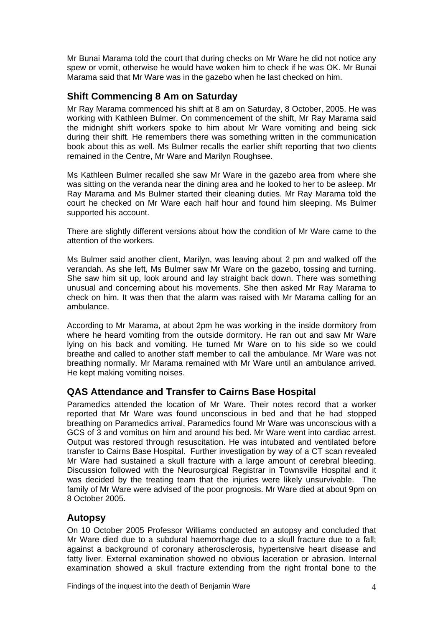Mr Bunai Marama told the court that during checks on Mr Ware he did not notice any spew or vomit, otherwise he would have woken him to check if he was OK. Mr Bunai Marama said that Mr Ware was in the gazebo when he last checked on him.

## **Shift Commencing 8 Am on Saturday**

Mr Ray Marama commenced his shift at 8 am on Saturday, 8 October, 2005. He was working with Kathleen Bulmer. On commencement of the shift, Mr Ray Marama said the midnight shift workers spoke to him about Mr Ware vomiting and being sick during their shift. He remembers there was something written in the communication book about this as well. Ms Bulmer recalls the earlier shift reporting that two clients remained in the Centre, Mr Ware and Marilyn Roughsee.

Ms Kathleen Bulmer recalled she saw Mr Ware in the gazebo area from where she was sitting on the veranda near the dining area and he looked to her to be asleep. Mr Ray Marama and Ms Bulmer started their cleaning duties. Mr Ray Marama told the court he checked on Mr Ware each half hour and found him sleeping. Ms Bulmer supported his account.

There are slightly different versions about how the condition of Mr Ware came to the attention of the workers.

Ms Bulmer said another client, Marilyn, was leaving about 2 pm and walked off the verandah. As she left, Ms Bulmer saw Mr Ware on the gazebo, tossing and turning. She saw him sit up, look around and lay straight back down. There was something unusual and concerning about his movements. She then asked Mr Ray Marama to check on him. It was then that the alarm was raised with Mr Marama calling for an ambulance.

According to Mr Marama, at about 2pm he was working in the inside dormitory from where he heard vomiting from the outside dormitory. He ran out and saw Mr Ware lying on his back and vomiting. He turned Mr Ware on to his side so we could breathe and called to another staff member to call the ambulance. Mr Ware was not breathing normally. Mr Marama remained with Mr Ware until an ambulance arrived. He kept making vomiting noises.

## **QAS Attendance and Transfer to Cairns Base Hospital**

Paramedics attended the location of Mr Ware. Their notes record that a worker reported that Mr Ware was found unconscious in bed and that he had stopped breathing on Paramedics arrival. Paramedics found Mr Ware was unconscious with a GCS of 3 and vomitus on him and around his bed. Mr Ware went into cardiac arrest. Output was restored through resuscitation. He was intubated and ventilated before transfer to Cairns Base Hospital. Further investigation by way of a CT scan revealed Mr Ware had sustained a skull fracture with a large amount of cerebral bleeding. Discussion followed with the Neurosurgical Registrar in Townsville Hospital and it was decided by the treating team that the injuries were likely unsurvivable. The family of Mr Ware were advised of the poor prognosis. Mr Ware died at about 9pm on 8 October 2005.

## **Autopsy**

On 10 October 2005 Professor Williams conducted an autopsy and concluded that Mr Ware died due to a subdural haemorrhage due to a skull fracture due to a fall; against a background of coronary atherosclerosis, hypertensive heart disease and fatty liver. External examination showed no obvious laceration or abrasion. Internal examination showed a skull fracture extending from the right frontal bone to the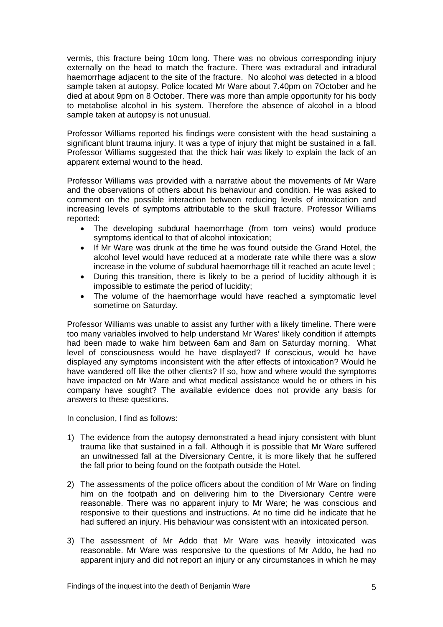vermis, this fracture being 10cm long. There was no obvious corresponding injury externally on the head to match the fracture. There was extradural and intradural haemorrhage adjacent to the site of the fracture. No alcohol was detected in a blood sample taken at autopsy. Police located Mr Ware about 7.40pm on 7October and he died at about 9pm on 8 October. There was more than ample opportunity for his body to metabolise alcohol in his system. Therefore the absence of alcohol in a blood sample taken at autopsy is not unusual.

Professor Williams reported his findings were consistent with the head sustaining a significant blunt trauma injury. It was a type of injury that might be sustained in a fall. Professor Williams suggested that the thick hair was likely to explain the lack of an apparent external wound to the head.

Professor Williams was provided with a narrative about the movements of Mr Ware and the observations of others about his behaviour and condition. He was asked to comment on the possible interaction between reducing levels of intoxication and increasing levels of symptoms attributable to the skull fracture. Professor Williams reported:

- The developing subdural haemorrhage (from torn veins) would produce symptoms identical to that of alcohol intoxication;
- If Mr Ware was drunk at the time he was found outside the Grand Hotel, the alcohol level would have reduced at a moderate rate while there was a slow increase in the volume of subdural haemorrhage till it reached an acute level ;
- During this transition, there is likely to be a period of lucidity although it is impossible to estimate the period of lucidity;
- The volume of the haemorrhage would have reached a symptomatic level sometime on Saturday.

Professor Williams was unable to assist any further with a likely timeline. There were too many variables involved to help understand Mr Wares' likely condition if attempts had been made to wake him between 6am and 8am on Saturday morning. What level of consciousness would he have displayed? If conscious, would he have displayed any symptoms inconsistent with the after effects of intoxication? Would he have wandered off like the other clients? If so, how and where would the symptoms have impacted on Mr Ware and what medical assistance would he or others in his company have sought? The available evidence does not provide any basis for answers to these questions.

In conclusion, I find as follows:

- 1) The evidence from the autopsy demonstrated a head injury consistent with blunt trauma like that sustained in a fall. Although it is possible that Mr Ware suffered an unwitnessed fall at the Diversionary Centre, it is more likely that he suffered the fall prior to being found on the footpath outside the Hotel.
- 2) The assessments of the police officers about the condition of Mr Ware on finding him on the footpath and on delivering him to the Diversionary Centre were reasonable. There was no apparent injury to Mr Ware; he was conscious and responsive to their questions and instructions. At no time did he indicate that he had suffered an injury. His behaviour was consistent with an intoxicated person.
- 3) The assessment of Mr Addo that Mr Ware was heavily intoxicated was reasonable. Mr Ware was responsive to the questions of Mr Addo, he had no apparent injury and did not report an injury or any circumstances in which he may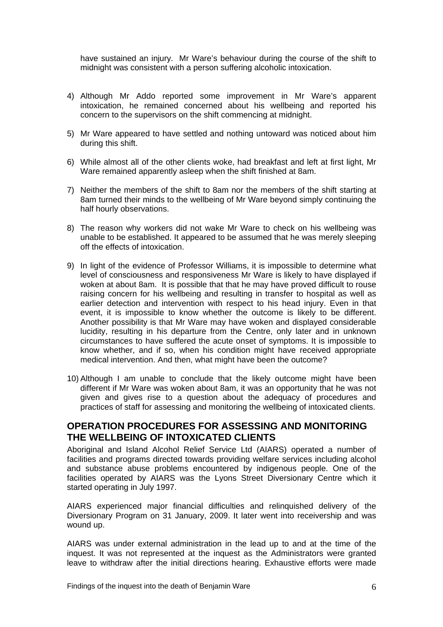have sustained an injury. Mr Ware's behaviour during the course of the shift to midnight was consistent with a person suffering alcoholic intoxication.

- 4) Although Mr Addo reported some improvement in Mr Ware's apparent intoxication, he remained concerned about his wellbeing and reported his concern to the supervisors on the shift commencing at midnight.
- 5) Mr Ware appeared to have settled and nothing untoward was noticed about him during this shift.
- 6) While almost all of the other clients woke, had breakfast and left at first light, Mr Ware remained apparently asleep when the shift finished at 8am.
- 7) Neither the members of the shift to 8am nor the members of the shift starting at 8am turned their minds to the wellbeing of Mr Ware beyond simply continuing the half hourly observations.
- 8) The reason why workers did not wake Mr Ware to check on his wellbeing was unable to be established. It appeared to be assumed that he was merely sleeping off the effects of intoxication.
- 9) In light of the evidence of Professor Williams, it is impossible to determine what level of consciousness and responsiveness Mr Ware is likely to have displayed if woken at about 8am. It is possible that that he may have proved difficult to rouse raising concern for his wellbeing and resulting in transfer to hospital as well as earlier detection and intervention with respect to his head injury. Even in that event, it is impossible to know whether the outcome is likely to be different. Another possibility is that Mr Ware may have woken and displayed considerable lucidity, resulting in his departure from the Centre, only later and in unknown circumstances to have suffered the acute onset of symptoms. It is impossible to know whether, and if so, when his condition might have received appropriate medical intervention. And then, what might have been the outcome?
- 10) Although I am unable to conclude that the likely outcome might have been different if Mr Ware was woken about 8am, it was an opportunity that he was not given and gives rise to a question about the adequacy of procedures and practices of staff for assessing and monitoring the wellbeing of intoxicated clients.

#### **OPERATION PROCEDURES FOR ASSESSING AND MONITORING THE WELLBEING OF INTOXICATED CLIENTS**

Aboriginal and Island Alcohol Relief Service Ltd (AIARS) operated a number of facilities and programs directed towards providing welfare services including alcohol and substance abuse problems encountered by indigenous people. One of the facilities operated by AIARS was the Lyons Street Diversionary Centre which it started operating in July 1997.

AIARS experienced major financial difficulties and relinquished delivery of the Diversionary Program on 31 January, 2009. It later went into receivership and was wound up.

AIARS was under external administration in the lead up to and at the time of the inquest. It was not represented at the inquest as the Administrators were granted leave to withdraw after the initial directions hearing. Exhaustive efforts were made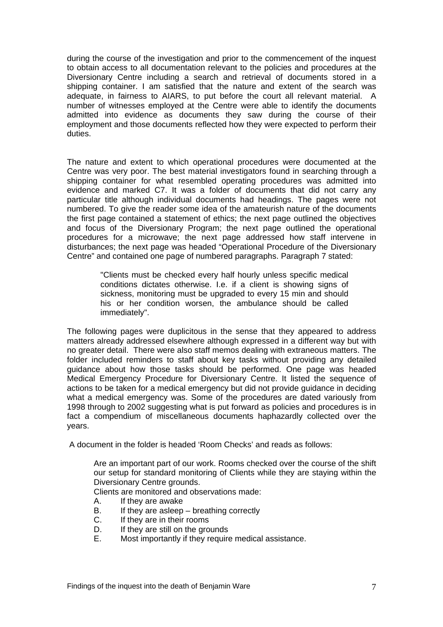during the course of the investigation and prior to the commencement of the inquest to obtain access to all documentation relevant to the policies and procedures at the Diversionary Centre including a search and retrieval of documents stored in a shipping container. I am satisfied that the nature and extent of the search was adequate, in fairness to AIARS, to put before the court all relevant material. A number of witnesses employed at the Centre were able to identify the documents admitted into evidence as documents they saw during the course of their employment and those documents reflected how they were expected to perform their duties.

The nature and extent to which operational procedures were documented at the Centre was very poor. The best material investigators found in searching through a shipping container for what resembled operating procedures was admitted into evidence and marked C7. It was a folder of documents that did not carry any particular title although individual documents had headings. The pages were not numbered. To give the reader some idea of the amateurish nature of the documents the first page contained a statement of ethics; the next page outlined the objectives and focus of the Diversionary Program; the next page outlined the operational procedures for a microwave; the next page addressed how staff intervene in disturbances; the next page was headed "Operational Procedure of the Diversionary Centre" and contained one page of numbered paragraphs. Paragraph 7 stated:

> "Clients must be checked every half hourly unless specific medical conditions dictates otherwise. I.e. if a client is showing signs of sickness, monitoring must be upgraded to every 15 min and should his or her condition worsen, the ambulance should be called immediately".

The following pages were duplicitous in the sense that they appeared to address matters already addressed elsewhere although expressed in a different way but with no greater detail. There were also staff memos dealing with extraneous matters. The folder included reminders to staff about key tasks without providing any detailed guidance about how those tasks should be performed. One page was headed Medical Emergency Procedure for Diversionary Centre. It listed the sequence of actions to be taken for a medical emergency but did not provide guidance in deciding what a medical emergency was. Some of the procedures are dated variously from 1998 through to 2002 suggesting what is put forward as policies and procedures is in fact a compendium of miscellaneous documents haphazardly collected over the years.

A document in the folder is headed 'Room Checks' and reads as follows:

Are an important part of our work. Rooms checked over the course of the shift our setup for standard monitoring of Clients while they are staying within the Diversionary Centre grounds.

Clients are monitored and observations made:

- A. If they are awake
- B. If they are asleep breathing correctly
- C. If they are in their rooms
- D. If they are still on the grounds
- E. Most importantly if they require medical assistance.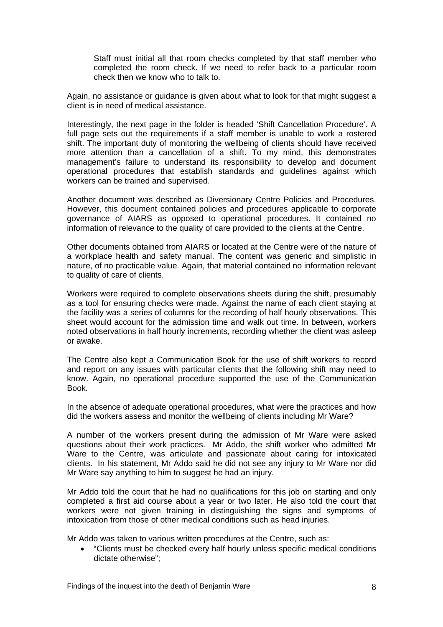Staff must initial all that room checks completed by that staff member who completed the room check. If we need to refer back to a particular room check then we know who to talk to.

Again, no assistance or guidance is given about what to look for that might suggest a client is in need of medical assistance.

Interestingly, the next page in the folder is headed 'Shift Cancellation Procedure'. A full page sets out the requirements if a staff member is unable to work a rostered shift. The important duty of monitoring the wellbeing of clients should have received more attention than a cancellation of a shift. To my mind, this demonstrates management's failure to understand its responsibility to develop and document operational procedures that establish standards and guidelines against which workers can be trained and supervised.

Another document was described as Diversionary Centre Policies and Procedures. However, this document contained policies and procedures applicable to corporate governance of AIARS as opposed to operational procedures. It contained no information of relevance to the quality of care provided to the clients at the Centre.

Other documents obtained from AIARS or located at the Centre were of the nature of a workplace health and safety manual. The content was generic and simplistic in nature, of no practicable value. Again, that material contained no information relevant to quality of care of clients.

Workers were required to complete observations sheets during the shift, presumably as a tool for ensuring checks were made. Against the name of each client staying at the facility was a series of columns for the recording of half hourly observations. This sheet would account for the admission time and walk out time. In between, workers noted observations in half hourly increments, recording whether the client was asleep or awake.

The Centre also kept a Communication Book for the use of shift workers to record and report on any issues with particular clients that the following shift may need to know. Again, no operational procedure supported the use of the Communication Book.

In the absence of adequate operational procedures, what were the practices and how did the workers assess and monitor the wellbeing of clients including Mr Ware?

A number of the workers present during the admission of Mr Ware were asked questions about their work practices. Mr Addo, the shift worker who admitted Mr Ware to the Centre, was articulate and passionate about caring for intoxicated clients. In his statement, Mr Addo said he did not see any injury to Mr Ware nor did Mr Ware say anything to him to suggest he had an injury.

Mr Addo told the court that he had no qualifications for this job on starting and only completed a first aid course about a year or two later. He also told the court that workers were not given training in distinguishing the signs and symptoms of intoxication from those of other medical conditions such as head injuries.

Mr Addo was taken to various written procedures at the Centre, such as:

• "Clients must be checked every half hourly unless specific medical conditions dictate otherwise";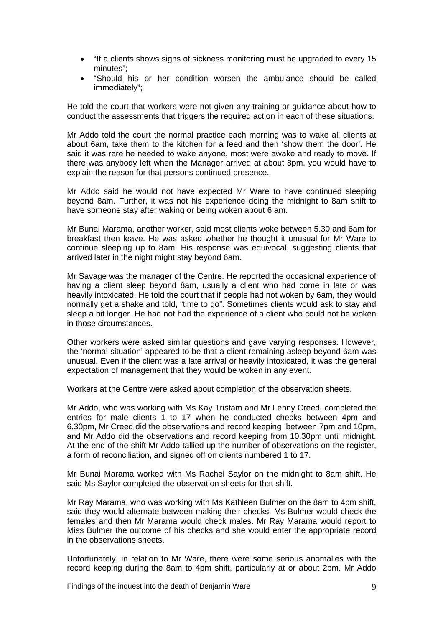- "If a clients shows signs of sickness monitoring must be upgraded to every 15 minutes";
- "Should his or her condition worsen the ambulance should be called immediately";

He told the court that workers were not given any training or guidance about how to conduct the assessments that triggers the required action in each of these situations.

Mr Addo told the court the normal practice each morning was to wake all clients at about 6am, take them to the kitchen for a feed and then 'show them the door'. He said it was rare he needed to wake anyone, most were awake and ready to move. If there was anybody left when the Manager arrived at about 8pm, you would have to explain the reason for that persons continued presence.

Mr Addo said he would not have expected Mr Ware to have continued sleeping beyond 8am. Further, it was not his experience doing the midnight to 8am shift to have someone stay after waking or being woken about 6 am.

Mr Bunai Marama, another worker, said most clients woke between 5.30 and 6am for breakfast then leave. He was asked whether he thought it unusual for Mr Ware to continue sleeping up to 8am. His response was equivocal, suggesting clients that arrived later in the night might stay beyond 6am.

Mr Savage was the manager of the Centre. He reported the occasional experience of having a client sleep beyond 8am, usually a client who had come in late or was heavily intoxicated. He told the court that if people had not woken by 6am, they would normally get a shake and told, "time to go". Sometimes clients would ask to stay and sleep a bit longer. He had not had the experience of a client who could not be woken in those circumstances.

Other workers were asked similar questions and gave varying responses. However, the 'normal situation' appeared to be that a client remaining asleep beyond 6am was unusual. Even if the client was a late arrival or heavily intoxicated, it was the general expectation of management that they would be woken in any event.

Workers at the Centre were asked about completion of the observation sheets.

Mr Addo, who was working with Ms Kay Tristam and Mr Lenny Creed, completed the entries for male clients 1 to 17 when he conducted checks between 4pm and 6.30pm, Mr Creed did the observations and record keeping between 7pm and 10pm, and Mr Addo did the observations and record keeping from 10.30pm until midnight. At the end of the shift Mr Addo tallied up the number of observations on the register, a form of reconciliation, and signed off on clients numbered 1 to 17.

Mr Bunai Marama worked with Ms Rachel Saylor on the midnight to 8am shift. He said Ms Saylor completed the observation sheets for that shift.

Mr Ray Marama, who was working with Ms Kathleen Bulmer on the 8am to 4pm shift, said they would alternate between making their checks. Ms Bulmer would check the females and then Mr Marama would check males. Mr Ray Marama would report to Miss Bulmer the outcome of his checks and she would enter the appropriate record in the observations sheets.

Unfortunately, in relation to Mr Ware, there were some serious anomalies with the record keeping during the 8am to 4pm shift, particularly at or about 2pm. Mr Addo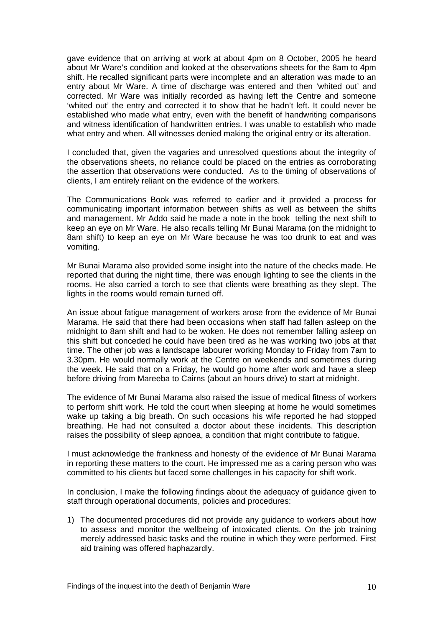gave evidence that on arriving at work at about 4pm on 8 October, 2005 he heard about Mr Ware's condition and looked at the observations sheets for the 8am to 4pm shift. He recalled significant parts were incomplete and an alteration was made to an entry about Mr Ware. A time of discharge was entered and then 'whited out' and corrected. Mr Ware was initially recorded as having left the Centre and someone 'whited out' the entry and corrected it to show that he hadn't left. It could never be established who made what entry, even with the benefit of handwriting comparisons and witness identification of handwritten entries. I was unable to establish who made what entry and when. All witnesses denied making the original entry or its alteration.

I concluded that, given the vagaries and unresolved questions about the integrity of the observations sheets, no reliance could be placed on the entries as corroborating the assertion that observations were conducted. As to the timing of observations of clients, I am entirely reliant on the evidence of the workers.

The Communications Book was referred to earlier and it provided a process for communicating important information between shifts as well as between the shifts and management. Mr Addo said he made a note in the book telling the next shift to keep an eye on Mr Ware. He also recalls telling Mr Bunai Marama (on the midnight to 8am shift) to keep an eye on Mr Ware because he was too drunk to eat and was vomiting.

Mr Bunai Marama also provided some insight into the nature of the checks made. He reported that during the night time, there was enough lighting to see the clients in the rooms. He also carried a torch to see that clients were breathing as they slept. The lights in the rooms would remain turned off.

An issue about fatigue management of workers arose from the evidence of Mr Bunai Marama. He said that there had been occasions when staff had fallen asleep on the midnight to 8am shift and had to be woken. He does not remember falling asleep on this shift but conceded he could have been tired as he was working two jobs at that time. The other job was a landscape labourer working Monday to Friday from 7am to 3.30pm. He would normally work at the Centre on weekends and sometimes during the week. He said that on a Friday, he would go home after work and have a sleep before driving from Mareeba to Cairns (about an hours drive) to start at midnight.

The evidence of Mr Bunai Marama also raised the issue of medical fitness of workers to perform shift work. He told the court when sleeping at home he would sometimes wake up taking a big breath. On such occasions his wife reported he had stopped breathing. He had not consulted a doctor about these incidents. This description raises the possibility of sleep apnoea, a condition that might contribute to fatigue.

I must acknowledge the frankness and honesty of the evidence of Mr Bunai Marama in reporting these matters to the court. He impressed me as a caring person who was committed to his clients but faced some challenges in his capacity for shift work.

In conclusion, I make the following findings about the adequacy of guidance given to staff through operational documents, policies and procedures:

1) The documented procedures did not provide any guidance to workers about how to assess and monitor the wellbeing of intoxicated clients. On the job training merely addressed basic tasks and the routine in which they were performed. First aid training was offered haphazardly.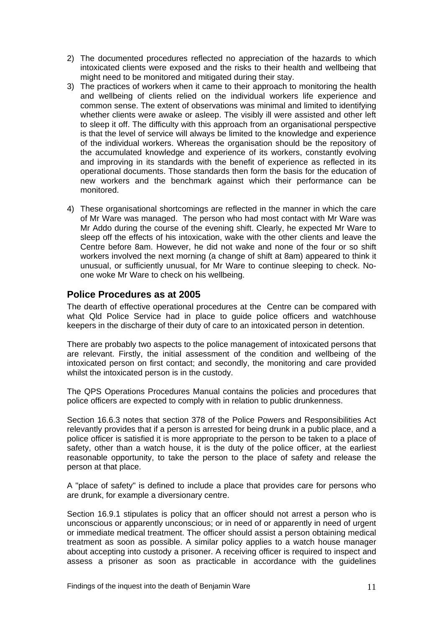- 2) The documented procedures reflected no appreciation of the hazards to which intoxicated clients were exposed and the risks to their health and wellbeing that might need to be monitored and mitigated during their stay.
- 3) The practices of workers when it came to their approach to monitoring the health and wellbeing of clients relied on the individual workers life experience and common sense. The extent of observations was minimal and limited to identifying whether clients were awake or asleep. The visibly ill were assisted and other left to sleep it off. The difficulty with this approach from an organisational perspective is that the level of service will always be limited to the knowledge and experience of the individual workers. Whereas the organisation should be the repository of the accumulated knowledge and experience of its workers, constantly evolving and improving in its standards with the benefit of experience as reflected in its operational documents. Those standards then form the basis for the education of new workers and the benchmark against which their performance can be monitored.
- 4) These organisational shortcomings are reflected in the manner in which the care of Mr Ware was managed. The person who had most contact with Mr Ware was Mr Addo during the course of the evening shift. Clearly, he expected Mr Ware to sleep off the effects of his intoxication, wake with the other clients and leave the Centre before 8am. However, he did not wake and none of the four or so shift workers involved the next morning (a change of shift at 8am) appeared to think it unusual, or sufficiently unusual, for Mr Ware to continue sleeping to check. Noone woke Mr Ware to check on his wellbeing.

## **Police Procedures as at 2005**

The dearth of effective operational procedures at the Centre can be compared with what Qld Police Service had in place to guide police officers and watchhouse keepers in the discharge of their duty of care to an intoxicated person in detention.

There are probably two aspects to the police management of intoxicated persons that are relevant. Firstly, the initial assessment of the condition and wellbeing of the intoxicated person on first contact; and secondly, the monitoring and care provided whilst the intoxicated person is in the custody.

The QPS Operations Procedures Manual contains the policies and procedures that police officers are expected to comply with in relation to public drunkenness.

Section 16.6.3 notes that section 378 of the Police Powers and Responsibilities Act relevantly provides that if a person is arrested for being drunk in a public place, and a police officer is satisfied it is more appropriate to the person to be taken to a place of safety, other than a watch house, it is the duty of the police officer, at the earliest reasonable opportunity, to take the person to the place of safety and release the person at that place.

A "place of safety" is defined to include a place that provides care for persons who are drunk, for example a diversionary centre.

Section 16.9.1 stipulates is policy that an officer should not arrest a person who is unconscious or apparently unconscious; or in need of or apparently in need of urgent or immediate medical treatment. The officer should assist a person obtaining medical treatment as soon as possible. A similar policy applies to a watch house manager about accepting into custody a prisoner. A receiving officer is required to inspect and assess a prisoner as soon as practicable in accordance with the guidelines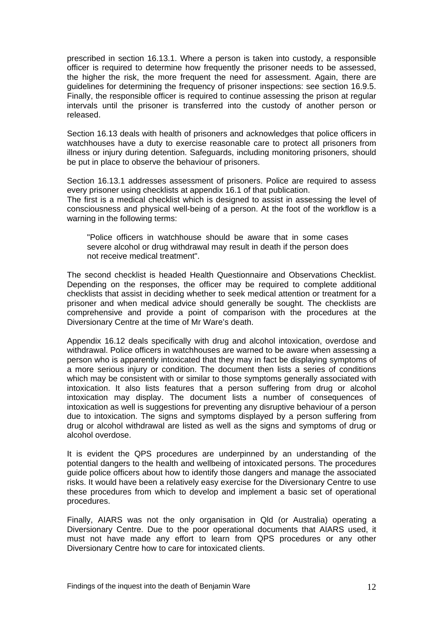prescribed in section 16.13.1. Where a person is taken into custody, a responsible officer is required to determine how frequently the prisoner needs to be assessed, the higher the risk, the more frequent the need for assessment. Again, there are guidelines for determining the frequency of prisoner inspections: see section 16.9.5. Finally, the responsible officer is required to continue assessing the prison at regular intervals until the prisoner is transferred into the custody of another person or released.

Section 16.13 deals with health of prisoners and acknowledges that police officers in watchhouses have a duty to exercise reasonable care to protect all prisoners from illness or injury during detention. Safeguards, including monitoring prisoners, should be put in place to observe the behaviour of prisoners.

Section 16.13.1 addresses assessment of prisoners. Police are required to assess every prisoner using checklists at appendix 16.1 of that publication.

The first is a medical checklist which is designed to assist in assessing the level of consciousness and physical well-being of a person. At the foot of the workflow is a warning in the following terms:

"Police officers in watchhouse should be aware that in some cases severe alcohol or drug withdrawal may result in death if the person does not receive medical treatment".

The second checklist is headed Health Questionnaire and Observations Checklist. Depending on the responses, the officer may be required to complete additional checklists that assist in deciding whether to seek medical attention or treatment for a prisoner and when medical advice should generally be sought. The checklists are comprehensive and provide a point of comparison with the procedures at the Diversionary Centre at the time of Mr Ware's death.

Appendix 16.12 deals specifically with drug and alcohol intoxication, overdose and withdrawal. Police officers in watchhouses are warned to be aware when assessing a person who is apparently intoxicated that they may in fact be displaying symptoms of a more serious injury or condition. The document then lists a series of conditions which may be consistent with or similar to those symptoms generally associated with intoxication. It also lists features that a person suffering from drug or alcohol intoxication may display. The document lists a number of consequences of intoxication as well is suggestions for preventing any disruptive behaviour of a person due to intoxication. The signs and symptoms displayed by a person suffering from drug or alcohol withdrawal are listed as well as the signs and symptoms of drug or alcohol overdose.

It is evident the QPS procedures are underpinned by an understanding of the potential dangers to the health and wellbeing of intoxicated persons. The procedures guide police officers about how to identify those dangers and manage the associated risks. It would have been a relatively easy exercise for the Diversionary Centre to use these procedures from which to develop and implement a basic set of operational procedures.

Finally, AIARS was not the only organisation in Qld (or Australia) operating a Diversionary Centre. Due to the poor operational documents that AIARS used, it must not have made any effort to learn from QPS procedures or any other Diversionary Centre how to care for intoxicated clients.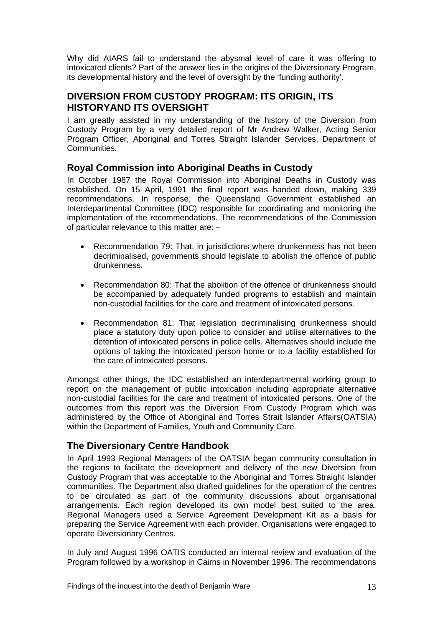Why did AIARS fail to understand the abysmal level of care it was offering to intoxicated clients? Part of the answer lies in the origins of the Diversionary Program, its developmental history and the level of oversight by the 'funding authority'.

## **DIVERSION FROM CUSTODY PROGRAM: ITS ORIGIN, ITS HISTORYAND ITS OVERSIGHT**

I am greatly assisted in my understanding of the history of the Diversion from Custody Program by a very detailed report of Mr Andrew Walker, Acting Senior Program Officer, Aboriginal and Torres Straight Islander Services, Department of Communities.

## **Royal Commission into Aboriginal Deaths in Custody**

In October 1987 the Royal Commission into Aboriginal Deaths in Custody was established. On 15 April, 1991 the final report was handed down, making 339 recommendations. In response, the Queensland Government established an Interdepartmental Committee (IDC) responsible for coordinating and monitoring the implementation of the recommendations. The recommendations of the Commission of particular relevance to this matter are: –

- Recommendation 79: That, in jurisdictions where drunkenness has not been decriminalised, governments should legislate to abolish the offence of public drunkenness.
- Recommendation 80: That the abolition of the offence of drunkenness should be accompanied by adequately funded programs to establish and maintain non-custodial facilities for the care and treatment of intoxicated persons.
- Recommendation 81: That legislation decriminalising drunkenness should place a statutory duty upon police to consider and utilise alternatives to the detention of intoxicated persons in police cells. Alternatives should include the options of taking the intoxicated person home or to a facility established for the care of intoxicated persons.

Amongst other things, the IDC established an interdepartmental working group to report on the management of public intoxication including appropriate alternative non-custodial facilities for the care and treatment of intoxicated persons. One of the outcomes from this report was the Diversion From Custody Program which was administered by the Office of Aboriginal and Torres Strait Islander Affairs(OATSIA) within the Department of Families, Youth and Community Care.

## **The Diversionary Centre Handbook**

In April 1993 Regional Managers of the OATSIA began community consultation in the regions to facilitate the development and delivery of the new Diversion from Custody Program that was acceptable to the Aboriginal and Torres Straight Islander communities. The Department also drafted guidelines for the operation of the centres to be circulated as part of the community discussions about organisational arrangements. Each region developed its own model best suited to the area. Regional Managers used a Service Agreement Development Kit as a basis for preparing the Service Agreement with each provider. Organisations were engaged to operate Diversionary Centres.

In July and August 1996 OATIS conducted an internal review and evaluation of the Program followed by a workshop in Cairns in November 1996. The recommendations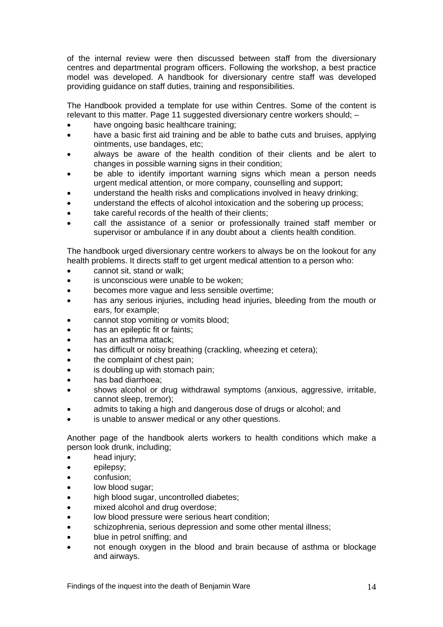of the internal review were then discussed between staff from the diversionary centres and departmental program officers. Following the workshop, a best practice model was developed. A handbook for diversionary centre staff was developed providing guidance on staff duties, training and responsibilities.

The Handbook provided a template for use within Centres. Some of the content is relevant to this matter. Page 11 suggested diversionary centre workers should; –

- have ongoing basic healthcare training;
- have a basic first aid training and be able to bathe cuts and bruises, applying ointments, use bandages, etc;
- always be aware of the health condition of their clients and be alert to changes in possible warning signs in their condition;
- be able to identify important warning signs which mean a person needs urgent medical attention, or more company, counselling and support;
- understand the health risks and complications involved in heavy drinking;
- understand the effects of alcohol intoxication and the sobering up process;
- take careful records of the health of their clients:
- call the assistance of a senior or professionally trained staff member or supervisor or ambulance if in any doubt about a clients health condition.

The handbook urged diversionary centre workers to always be on the lookout for any health problems. It directs staff to get urgent medical attention to a person who:

- cannot sit, stand or walk;
- is unconscious were unable to be woken;
- becomes more vague and less sensible overtime;
- has any serious injuries, including head injuries, bleeding from the mouth or ears, for example;
- cannot stop vomiting or vomits blood;
- has an epileptic fit or faints;
- has an asthma attack:
- has difficult or noisy breathing (crackling, wheezing et cetera);
- the complaint of chest pain:
- is doubling up with stomach pain;
- has bad diarrhoea;
- shows alcohol or drug withdrawal symptoms (anxious, aggressive, irritable, cannot sleep, tremor);
- admits to taking a high and dangerous dose of drugs or alcohol; and
- is unable to answer medical or any other questions.

Another page of the handbook alerts workers to health conditions which make a person look drunk, including;

- head injury;
- epilepsy;
- confusion;
- low blood sugar;
- high blood sugar, uncontrolled diabetes;
- mixed alcohol and drug overdose;
- low blood pressure were serious heart condition;
- schizophrenia, serious depression and some other mental illness;
- blue in petrol sniffing; and
- not enough oxygen in the blood and brain because of asthma or blockage and airways.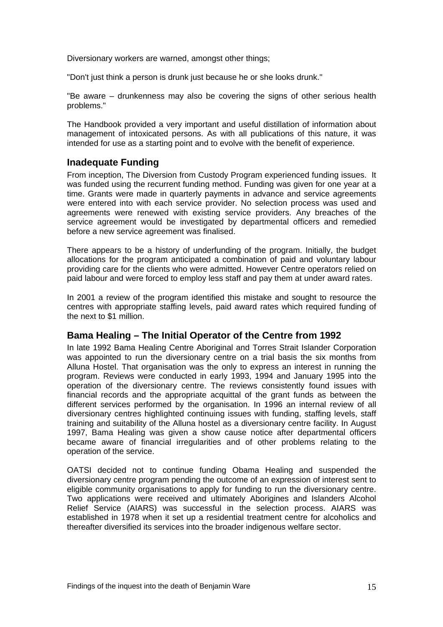Diversionary workers are warned, amongst other things;

"Don't just think a person is drunk just because he or she looks drunk."

"Be aware – drunkenness may also be covering the signs of other serious health problems."

The Handbook provided a very important and useful distillation of information about management of intoxicated persons. As with all publications of this nature, it was intended for use as a starting point and to evolve with the benefit of experience.

#### **Inadequate Funding**

From inception, The Diversion from Custody Program experienced funding issues. It was funded using the recurrent funding method. Funding was given for one year at a time. Grants were made in quarterly payments in advance and service agreements were entered into with each service provider. No selection process was used and agreements were renewed with existing service providers. Any breaches of the service agreement would be investigated by departmental officers and remedied before a new service agreement was finalised.

There appears to be a history of underfunding of the program. Initially, the budget allocations for the program anticipated a combination of paid and voluntary labour providing care for the clients who were admitted. However Centre operators relied on paid labour and were forced to employ less staff and pay them at under award rates.

In 2001 a review of the program identified this mistake and sought to resource the centres with appropriate staffing levels, paid award rates which required funding of the next to \$1 million.

#### **Bama Healing – The Initial Operator of the Centre from 1992**

In late 1992 Bama Healing Centre Aboriginal and Torres Strait Islander Corporation was appointed to run the diversionary centre on a trial basis the six months from Alluna Hostel. That organisation was the only to express an interest in running the program. Reviews were conducted in early 1993, 1994 and January 1995 into the operation of the diversionary centre. The reviews consistently found issues with financial records and the appropriate acquittal of the grant funds as between the different services performed by the organisation. In 1996 an internal review of all diversionary centres highlighted continuing issues with funding, staffing levels, staff training and suitability of the Alluna hostel as a diversionary centre facility. In August 1997, Bama Healing was given a show cause notice after departmental officers became aware of financial irregularities and of other problems relating to the operation of the service.

OATSI decided not to continue funding Obama Healing and suspended the diversionary centre program pending the outcome of an expression of interest sent to eligible community organisations to apply for funding to run the diversionary centre. Two applications were received and ultimately Aborigines and Islanders Alcohol Relief Service (AIARS) was successful in the selection process. AIARS was established in 1978 when it set up a residential treatment centre for alcoholics and thereafter diversified its services into the broader indigenous welfare sector.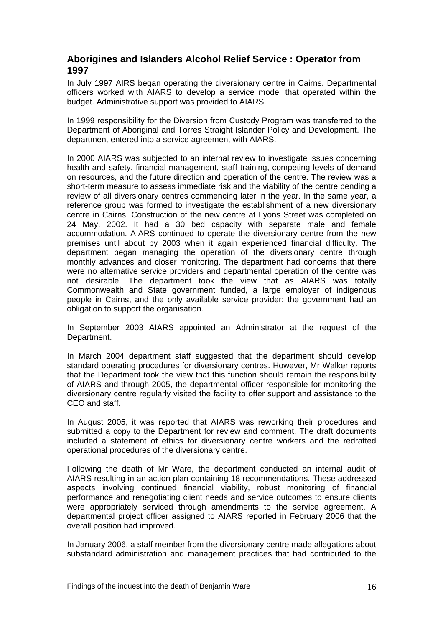## **Aborigines and Islanders Alcohol Relief Service : Operator from 1997**

In July 1997 AIRS began operating the diversionary centre in Cairns. Departmental officers worked with AIARS to develop a service model that operated within the budget. Administrative support was provided to AIARS.

In 1999 responsibility for the Diversion from Custody Program was transferred to the Department of Aboriginal and Torres Straight Islander Policy and Development. The department entered into a service agreement with AIARS.

In 2000 AIARS was subjected to an internal review to investigate issues concerning health and safety, financial management, staff training, competing levels of demand on resources, and the future direction and operation of the centre. The review was a short-term measure to assess immediate risk and the viability of the centre pending a review of all diversionary centres commencing later in the year. In the same year, a reference group was formed to investigate the establishment of a new diversionary centre in Cairns. Construction of the new centre at Lyons Street was completed on 24 May, 2002. It had a 30 bed capacity with separate male and female accommodation. AIARS continued to operate the diversionary centre from the new premises until about by 2003 when it again experienced financial difficulty. The department began managing the operation of the diversionary centre through monthly advances and closer monitoring. The department had concerns that there were no alternative service providers and departmental operation of the centre was not desirable. The department took the view that as AIARS was totally Commonwealth and State government funded, a large employer of indigenous people in Cairns, and the only available service provider; the government had an obligation to support the organisation.

In September 2003 AIARS appointed an Administrator at the request of the Department.

In March 2004 department staff suggested that the department should develop standard operating procedures for diversionary centres. However, Mr Walker reports that the Department took the view that this function should remain the responsibility of AIARS and through 2005, the departmental officer responsible for monitoring the diversionary centre regularly visited the facility to offer support and assistance to the CEO and staff.

In August 2005, it was reported that AIARS was reworking their procedures and submitted a copy to the Department for review and comment. The draft documents included a statement of ethics for diversionary centre workers and the redrafted operational procedures of the diversionary centre.

Following the death of Mr Ware, the department conducted an internal audit of AIARS resulting in an action plan containing 18 recommendations. These addressed aspects involving continued financial viability, robust monitoring of financial performance and renegotiating client needs and service outcomes to ensure clients were appropriately serviced through amendments to the service agreement. A departmental project officer assigned to AIARS reported in February 2006 that the overall position had improved.

In January 2006, a staff member from the diversionary centre made allegations about substandard administration and management practices that had contributed to the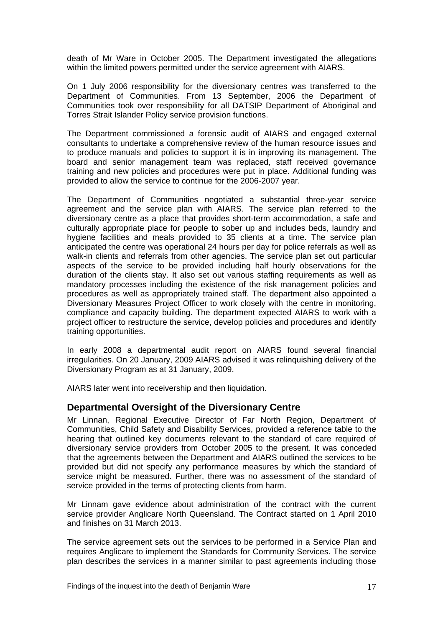death of Mr Ware in October 2005. The Department investigated the allegations within the limited powers permitted under the service agreement with AIARS.

On 1 July 2006 responsibility for the diversionary centres was transferred to the Department of Communities. From 13 September, 2006 the Department of Communities took over responsibility for all DATSIP Department of Aboriginal and Torres Strait Islander Policy service provision functions.

The Department commissioned a forensic audit of AIARS and engaged external consultants to undertake a comprehensive review of the human resource issues and to produce manuals and policies to support it is in improving its management. The board and senior management team was replaced, staff received governance training and new policies and procedures were put in place. Additional funding was provided to allow the service to continue for the 2006-2007 year.

The Department of Communities negotiated a substantial three-year service agreement and the service plan with AIARS. The service plan referred to the diversionary centre as a place that provides short-term accommodation, a safe and culturally appropriate place for people to sober up and includes beds, laundry and hygiene facilities and meals provided to 35 clients at a time. The service plan anticipated the centre was operational 24 hours per day for police referrals as well as walk-in clients and referrals from other agencies. The service plan set out particular aspects of the service to be provided including half hourly observations for the duration of the clients stay. It also set out various staffing requirements as well as mandatory processes including the existence of the risk management policies and procedures as well as appropriately trained staff. The department also appointed a Diversionary Measures Project Officer to work closely with the centre in monitoring, compliance and capacity building. The department expected AIARS to work with a project officer to restructure the service, develop policies and procedures and identify training opportunities.

In early 2008 a departmental audit report on AIARS found several financial irregularities. On 20 January, 2009 AIARS advised it was relinquishing delivery of the Diversionary Program as at 31 January, 2009.

AIARS later went into receivership and then liquidation.

#### **Departmental Oversight of the Diversionary Centre**

Mr Linnan, Regional Executive Director of Far North Region, Department of Communities, Child Safety and Disability Services, provided a reference table to the hearing that outlined key documents relevant to the standard of care required of diversionary service providers from October 2005 to the present. It was conceded that the agreements between the Department and AIARS outlined the services to be provided but did not specify any performance measures by which the standard of service might be measured. Further, there was no assessment of the standard of service provided in the terms of protecting clients from harm.

Mr Linnam gave evidence about administration of the contract with the current service provider Anglicare North Queensland. The Contract started on 1 April 2010 and finishes on 31 March 2013.

The service agreement sets out the services to be performed in a Service Plan and requires Anglicare to implement the Standards for Community Services. The service plan describes the services in a manner similar to past agreements including those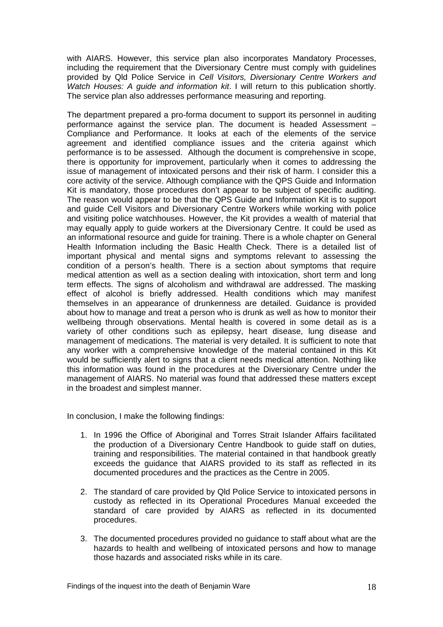with AIARS. However, this service plan also incorporates Mandatory Processes, including the requirement that the Diversionary Centre must comply with guidelines provided by Qld Police Service in *Cell Visitors, Diversionary Centre Workers and Watch Houses: A guide and information kit*. I will return to this publication shortly. The service plan also addresses performance measuring and reporting.

The department prepared a pro-forma document to support its personnel in auditing performance against the service plan. The document is headed Assessment – Compliance and Performance. It looks at each of the elements of the service agreement and identified compliance issues and the criteria against which performance is to be assessed. Although the document is comprehensive in scope, there is opportunity for improvement, particularly when it comes to addressing the issue of management of intoxicated persons and their risk of harm. I consider this a core activity of the service. Although compliance with the QPS Guide and Information Kit is mandatory, those procedures don't appear to be subject of specific auditing. The reason would appear to be that the QPS Guide and Information Kit is to support and guide Cell Visitors and Diversionary Centre Workers while working with police and visiting police watchhouses. However, the Kit provides a wealth of material that may equally apply to guide workers at the Diversionary Centre. It could be used as an informational resource and guide for training. There is a whole chapter on General Health Information including the Basic Health Check. There is a detailed list of important physical and mental signs and symptoms relevant to assessing the condition of a person's health. There is a section about symptoms that require medical attention as well as a section dealing with intoxication, short term and long term effects. The signs of alcoholism and withdrawal are addressed. The masking effect of alcohol is briefly addressed. Health conditions which may manifest themselves in an appearance of drunkenness are detailed. Guidance is provided about how to manage and treat a person who is drunk as well as how to monitor their wellbeing through observations. Mental health is covered in some detail as is a variety of other conditions such as epilepsy, heart disease, lung disease and management of medications. The material is very detailed. It is sufficient to note that any worker with a comprehensive knowledge of the material contained in this Kit would be sufficiently alert to signs that a client needs medical attention. Nothing like this information was found in the procedures at the Diversionary Centre under the management of AIARS. No material was found that addressed these matters except in the broadest and simplest manner.

In conclusion, I make the following findings:

- 1. In 1996 the Office of Aboriginal and Torres Strait Islander Affairs facilitated the production of a Diversionary Centre Handbook to guide staff on duties, training and responsibilities. The material contained in that handbook greatly exceeds the guidance that AIARS provided to its staff as reflected in its documented procedures and the practices as the Centre in 2005.
- 2. The standard of care provided by Qld Police Service to intoxicated persons in custody as reflected in its Operational Procedures Manual exceeded the standard of care provided by AIARS as reflected in its documented procedures.
- 3. The documented procedures provided no guidance to staff about what are the hazards to health and wellbeing of intoxicated persons and how to manage those hazards and associated risks while in its care.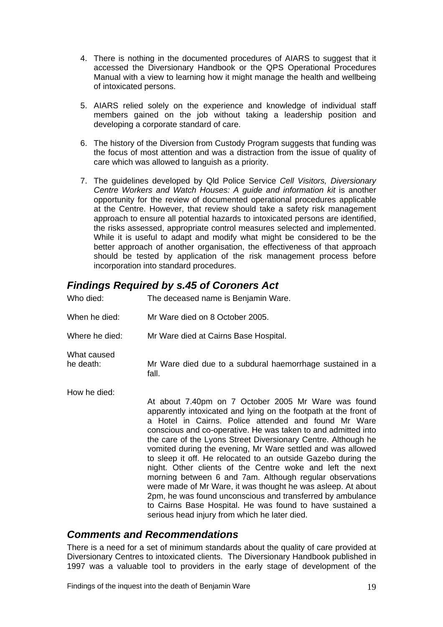- 4. There is nothing in the documented procedures of AIARS to suggest that it accessed the Diversionary Handbook or the QPS Operational Procedures Manual with a view to learning how it might manage the health and wellbeing of intoxicated persons.
- 5. AIARS relied solely on the experience and knowledge of individual staff members gained on the job without taking a leadership position and developing a corporate standard of care.
- 6. The history of the Diversion from Custody Program suggests that funding was the focus of most attention and was a distraction from the issue of quality of care which was allowed to languish as a priority.
- 7. The guidelines developed by Qld Police Service *Cell Visitors, Diversionary Centre Workers and Watch Houses: A guide and information kit* is another opportunity for the review of documented operational procedures applicable at the Centre. However, that review should take a safety risk management approach to ensure all potential hazards to intoxicated persons are identified, the risks assessed, appropriate control measures selected and implemented. While it is useful to adapt and modify what might be considered to be the better approach of another organisation, the effectiveness of that approach should be tested by application of the risk management process before incorporation into standard procedures.

## *Findings Required by s.45 of Coroners Act*

| Who died:                | The deceased name is Benjamin Ware.                                                                                                                                                                                                                                                                                                                                                                                                                                                                                                                                                                                                                                                                                                                                                                                    |
|--------------------------|------------------------------------------------------------------------------------------------------------------------------------------------------------------------------------------------------------------------------------------------------------------------------------------------------------------------------------------------------------------------------------------------------------------------------------------------------------------------------------------------------------------------------------------------------------------------------------------------------------------------------------------------------------------------------------------------------------------------------------------------------------------------------------------------------------------------|
| When he died:            | Mr Ware died on 8 October 2005.                                                                                                                                                                                                                                                                                                                                                                                                                                                                                                                                                                                                                                                                                                                                                                                        |
| Where he died:           | Mr Ware died at Cairns Base Hospital.                                                                                                                                                                                                                                                                                                                                                                                                                                                                                                                                                                                                                                                                                                                                                                                  |
| What caused<br>he death: | Mr Ware died due to a subdural haemorrhage sustained in a<br>fall.                                                                                                                                                                                                                                                                                                                                                                                                                                                                                                                                                                                                                                                                                                                                                     |
| How he died:             | At about 7.40pm on 7 October 2005 Mr Ware was found<br>apparently intoxicated and lying on the footpath at the front of<br>a Hotel in Cairns. Police attended and found Mr Ware<br>conscious and co-operative. He was taken to and admitted into<br>the care of the Lyons Street Diversionary Centre. Although he<br>vomited during the evening, Mr Ware settled and was allowed<br>to sleep it off. He relocated to an outside Gazebo during the<br>night. Other clients of the Centre woke and left the next<br>morning between 6 and 7am. Although regular observations<br>were made of Mr Ware, it was thought he was asleep. At about<br>2pm, he was found unconscious and transferred by ambulance<br>to Cairns Base Hospital. He was found to have sustained a<br>serious head injury from which he later died. |

## *Comments and Recommendations*

There is a need for a set of minimum standards about the quality of care provided at Diversionary Centres to intoxicated clients. The Diversionary Handbook published in 1997 was a valuable tool to providers in the early stage of development of the